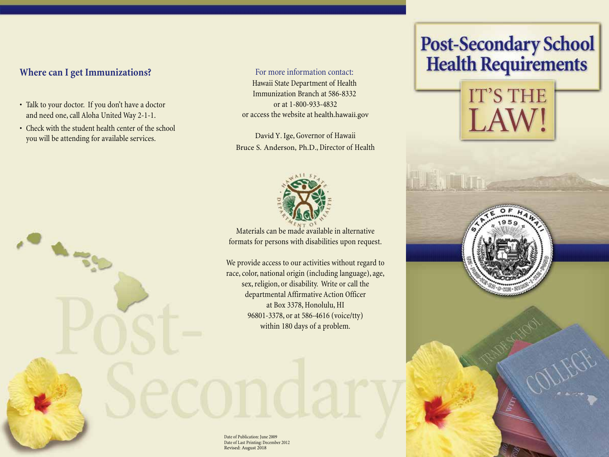# **Where can I get Immunizations?**

• Talk to your doctor. If you don't have a doctor and need one, call Aloha United Way 2-1-1.

 $\sim$ 

• Check with the student health center of the school you will be attending for available services.

For more information contact: Hawaii State Department of Health Immunization Branch at 586-8332 or at 1-800-933-4832 or access the website at health.hawaii.gov

David Y. Ige, Governor of Hawaii Bruce S. Anderson, Ph.D., Director of Health



Materials can be made available in alternative formats for persons with disabilities upon request.

We provide access to our activities without regard to race, color, national origin (including language), age, sex, religion, or disability. Write or call the departmental Affirmative Action Officer at Box 3378, Honolulu, HI 96801-3378, or at 586-4616 (voice/tty) within 180 days of a problem.

# **Post-Secondary School<br>Health Requirements**





Date of Publication: June 2009 Date of Last Printing: December 2012 Revised: August 2018